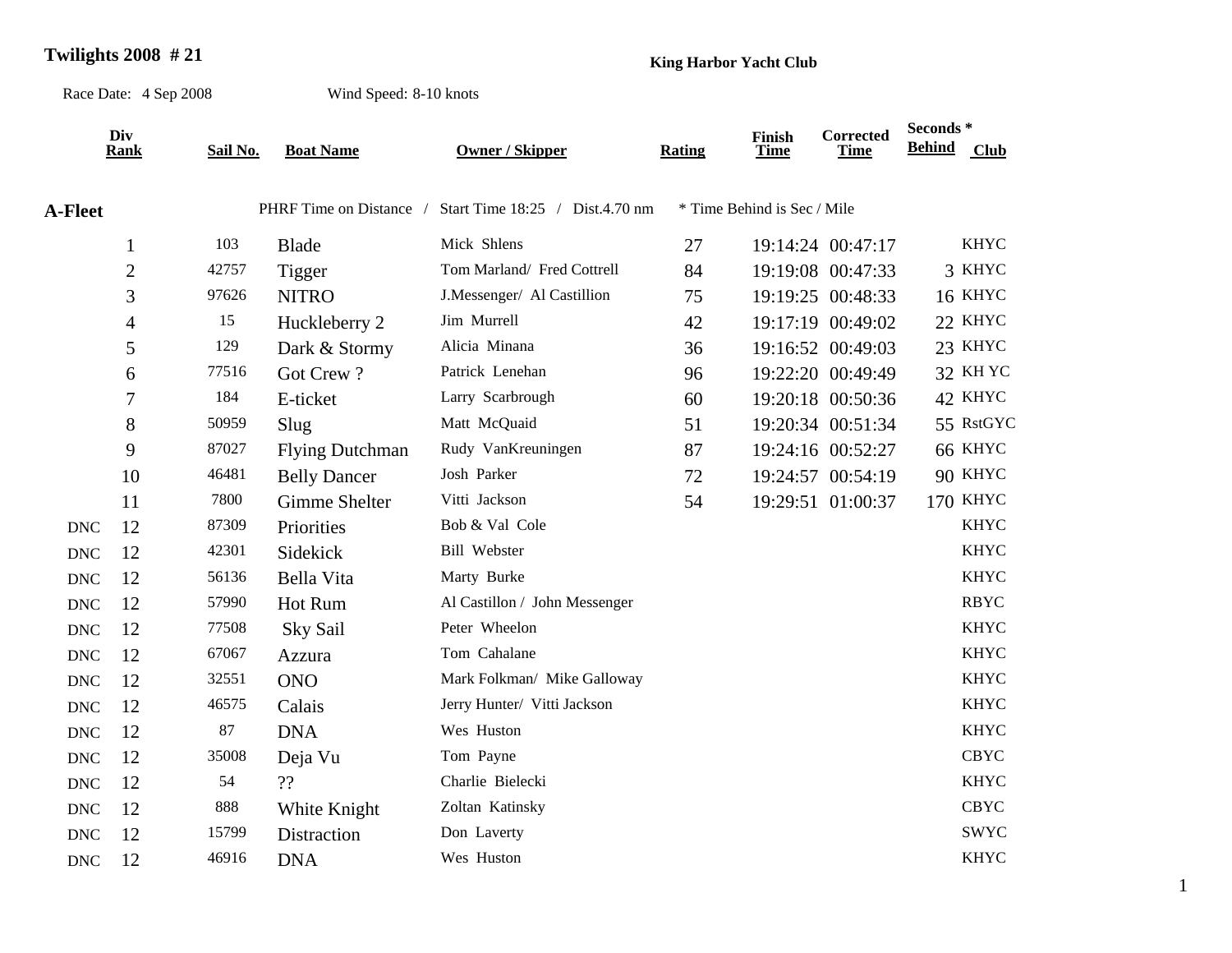## **Twilights 2008 # 21 King Harbor Yacht Club**

Race Date: 4 Sep 2008

Wind Speed: 8-10 knots

|                | Div<br>Rank    | Sail No. | <b>Boat Name</b>        | <b>Owner / Skipper</b>          | Rating | Finish<br><b>Time</b>       | Corrected<br>Time | Seconds*<br><b>Behind</b> | <b>Club</b>     |
|----------------|----------------|----------|-------------------------|---------------------------------|--------|-----------------------------|-------------------|---------------------------|-----------------|
|                |                |          |                         |                                 |        |                             |                   |                           |                 |
| <b>A-Fleet</b> |                |          | PHRF Time on Distance / | Start Time 18:25 / Dist.4.70 nm |        | * Time Behind is Sec / Mile |                   |                           |                 |
|                | $\mathbf{1}$   | 103      | Blade                   | Mick Shlens                     | 27     |                             | 19:14:24 00:47:17 |                           | <b>KHYC</b>     |
|                | $\overline{2}$ | 42757    | Tigger                  | Tom Marland/ Fred Cottrell      | 84     |                             | 19:19:08 00:47:33 |                           | 3 KHYC          |
|                | 3              | 97626    | <b>NITRO</b>            | J.Messenger/ Al Castillion      | 75     |                             | 19:19:25 00:48:33 |                           | 16 KHYC         |
|                | 4              | 15       | Huckleberry 2           | Jim Murrell                     | 42     |                             | 19:17:19 00:49:02 |                           | 22 KHYC         |
|                | 5              | 129      | Dark & Stormy           | Alicia Minana                   | 36     |                             | 19:16:52 00:49:03 |                           | 23 KHYC         |
|                | 6              | 77516    | Got Crew?               | Patrick Lenehan                 | 96     |                             | 19:22:20 00:49:49 |                           | 32 KH YC        |
|                | 7              | 184      | E-ticket                | Larry Scarbrough                | 60     |                             | 19:20:18 00:50:36 |                           | 42 KHYC         |
|                | 8              | 50959    | Slug                    | Matt McQuaid                    | 51     |                             | 19:20:34 00:51:34 |                           | 55 RstGYC       |
|                | 9              | 87027    | <b>Flying Dutchman</b>  | Rudy VanKreuningen              | 87     |                             | 19:24:16 00:52:27 |                           | 66 KHYC         |
|                | 10             | 46481    | <b>Belly Dancer</b>     | Josh Parker                     | 72     |                             | 19:24:57 00:54:19 |                           | 90 KHYC         |
|                | 11             | 7800     | Gimme Shelter           | Vitti Jackson                   | 54     |                             | 19:29:51 01:00:37 |                           | <b>170 KHYC</b> |
| <b>DNC</b>     | 12             | 87309    | Priorities              | Bob & Val Cole                  |        |                             |                   |                           | <b>KHYC</b>     |
| <b>DNC</b>     | 12             | 42301    | Sidekick                | <b>Bill Webster</b>             |        |                             |                   |                           | <b>KHYC</b>     |
| <b>DNC</b>     | 12             | 56136    | Bella Vita              | Marty Burke                     |        |                             |                   |                           | <b>KHYC</b>     |
| <b>DNC</b>     | 12             | 57990    | Hot Rum                 | Al Castillon / John Messenger   |        |                             |                   |                           | <b>RBYC</b>     |
| <b>DNC</b>     | 12             | 77508    | Sky Sail                | Peter Wheelon                   |        |                             |                   |                           | <b>KHYC</b>     |
| <b>DNC</b>     | 12             | 67067    | Azzura                  | Tom Cahalane                    |        |                             |                   |                           | <b>KHYC</b>     |
| <b>DNC</b>     | 12             | 32551    | <b>ONO</b>              | Mark Folkman/ Mike Galloway     |        |                             |                   |                           | <b>KHYC</b>     |
| <b>DNC</b>     | 12             | 46575    | Calais                  | Jerry Hunter/ Vitti Jackson     |        |                             |                   |                           | <b>KHYC</b>     |
| <b>DNC</b>     | 12             | 87       | <b>DNA</b>              | Wes Huston                      |        |                             |                   |                           | <b>KHYC</b>     |
| <b>DNC</b>     | 12             | 35008    | Deja Vu                 | Tom Payne                       |        |                             |                   |                           | <b>CBYC</b>     |
| <b>DNC</b>     | 12             | 54       | ??                      | Charlie Bielecki                |        |                             |                   |                           | <b>KHYC</b>     |
| <b>DNC</b>     | 12             | 888      | White Knight            | Zoltan Katinsky                 |        |                             |                   |                           | <b>CBYC</b>     |
| <b>DNC</b>     | 12             | 15799    | Distraction             | Don Laverty                     |        |                             |                   |                           | <b>SWYC</b>     |
| <b>DNC</b>     | 12             | 46916    | <b>DNA</b>              | Wes Huston                      |        |                             |                   |                           | <b>KHYC</b>     |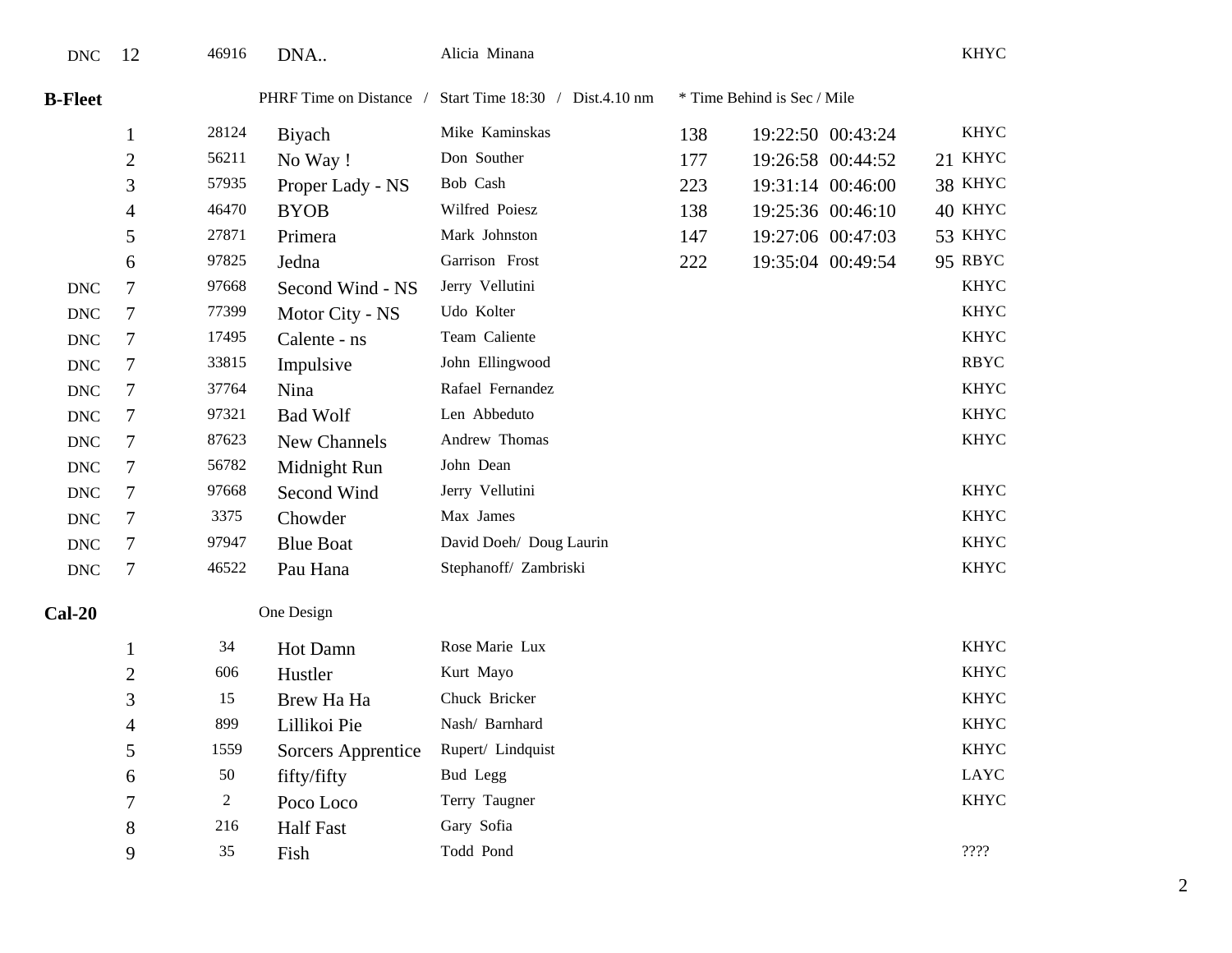| $\ensuremath{\text{DNC}}$ | 12               | 46916          | DNA                     | Alicia Minana                   |     |                             | <b>KHYC</b> |
|---------------------------|------------------|----------------|-------------------------|---------------------------------|-----|-----------------------------|-------------|
| <b>B-Fleet</b>            |                  |                | PHRF Time on Distance / | Start Time 18:30 / Dist.4.10 nm |     | * Time Behind is Sec / Mile |             |
|                           | $\mathbf{1}$     | 28124          | Biyach                  | Mike Kaminskas                  | 138 | 19:22:50 00:43:24           | <b>KHYC</b> |
|                           | $\overline{2}$   | 56211          | No Way!                 | Don Souther                     | 177 | 19:26:58 00:44:52           | 21 KHYC     |
|                           | 3                | 57935          | Proper Lady - NS        | Bob Cash                        | 223 | 19:31:14 00:46:00           | 38 KHYC     |
|                           | $\overline{4}$   | 46470          | <b>BYOB</b>             | Wilfred Poiesz                  | 138 | 19:25:36 00:46:10           | 40 KHYC     |
|                           | 5                | 27871          | Primera                 | Mark Johnston                   | 147 | 19:27:06 00:47:03           | 53 KHYC     |
|                           | 6                | 97825          | Jedna                   | Garrison Frost                  | 222 | 19:35:04 00:49:54           | 95 RBYC     |
| <b>DNC</b>                | 7                | 97668          | Second Wind - NS        | Jerry Vellutini                 |     |                             | <b>KHYC</b> |
| <b>DNC</b>                | $\tau$           | 77399          | Motor City - NS         | Udo Kolter                      |     |                             | <b>KHYC</b> |
| <b>DNC</b>                | 7                | 17495          | Calente - ns            | Team Caliente                   |     |                             | <b>KHYC</b> |
| <b>DNC</b>                | 7                | 33815          | Impulsive               | John Ellingwood                 |     |                             | <b>RBYC</b> |
| <b>DNC</b>                | 7                | 37764          | Nina                    | Rafael Fernandez                |     |                             | <b>KHYC</b> |
| $\ensuremath{\text{DNC}}$ | $\tau$           | 97321          | <b>Bad Wolf</b>         | Len Abbeduto                    |     |                             | <b>KHYC</b> |
| <b>DNC</b>                | 7                | 87623          | New Channels            | Andrew Thomas                   |     |                             | <b>KHYC</b> |
| <b>DNC</b>                | 7                | 56782          | Midnight Run            | John Dean                       |     |                             |             |
| <b>DNC</b>                | 7                | 97668          | Second Wind             | Jerry Vellutini                 |     |                             | <b>KHYC</b> |
| <b>DNC</b>                | 7                | 3375           | Chowder                 | Max James                       |     |                             | <b>KHYC</b> |
| $\operatorname{DNC}$      | $\tau$           | 97947          | <b>Blue Boat</b>        | David Doeh/ Doug Laurin         |     |                             | <b>KHYC</b> |
| $\operatorname{DNC}$      | $\boldsymbol{7}$ | 46522          | Pau Hana                | Stephanoff/ Zambriski           |     |                             | <b>KHYC</b> |
| $Cal-20$                  |                  |                | One Design              |                                 |     |                             |             |
|                           | $\mathbf{1}$     | 34             | Hot Damn                | Rose Marie Lux                  |     |                             | <b>KHYC</b> |
|                           | $\overline{2}$   | 606            | Hustler                 | Kurt Mayo                       |     |                             | <b>KHYC</b> |
|                           | 3                | 15             | Brew Ha Ha              | Chuck Bricker                   |     |                             | <b>KHYC</b> |
|                           | $\overline{4}$   | 899            | Lillikoi Pie            | Nash/ Barnhard                  |     |                             | <b>KHYC</b> |
|                           | 5                | 1559           | Sorcers Apprentice      | Rupert/ Lindquist               |     |                             | <b>KHYC</b> |
|                           | 6                | $50\,$         | fifty/fifty             | Bud Legg                        |     |                             | LAYC        |
|                           | 7                | $\overline{c}$ | Poco Loco               | Terry Taugner                   |     |                             | <b>KHYC</b> |
|                           | 8                | 216            | <b>Half Fast</b>        | Gary Sofia                      |     |                             |             |
|                           | 9                | 35             | Fish                    | Todd Pond                       |     |                             | ????        |

2